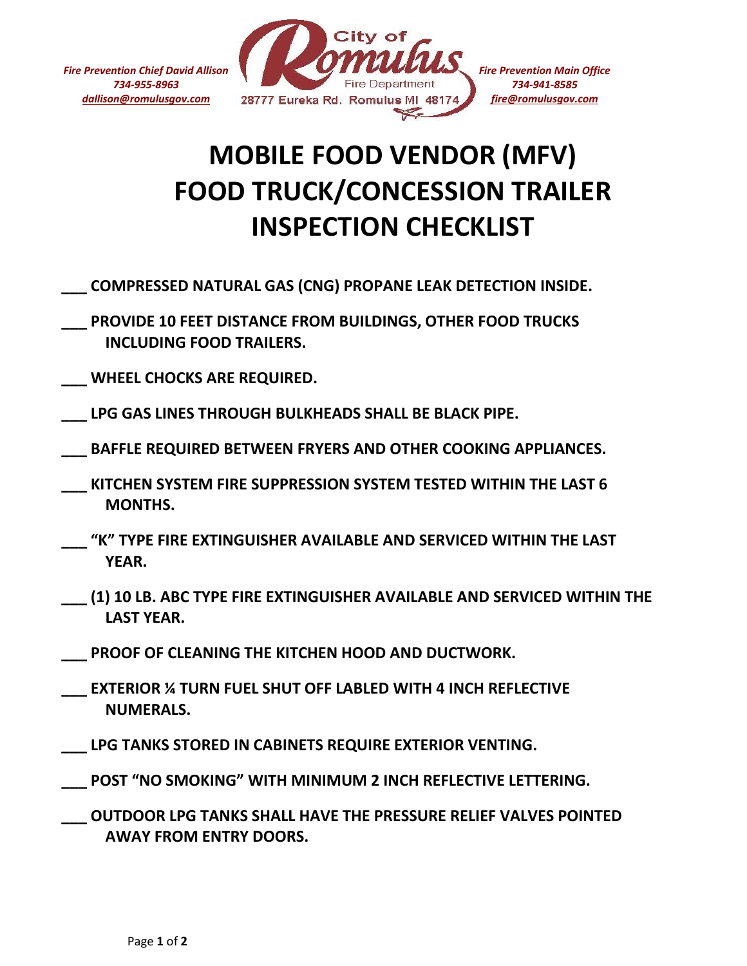*Fire Prevention Chief David Allison 734-955-8963 dallison@romulusgov.com*



## **MOBILE FOOD VENDOR (MFV) FOOD TRUCK/CONCESSION TRAILER INSPECTION CHECKLIST**

- **\_\_\_ COMPRESSED NATURAL GAS (CNG) PROPANE LEAK DETECTION INSIDE.**
- **\_\_\_ PROVIDE 10 FEET DISTANCE FROM BUILDINGS, OTHER FOOD TRUCKS INCLUDING FOOD TRAILERS.**
- **\_\_\_ WHEEL CHOCKS ARE REQUIRED.**
- **\_\_\_ LPG GAS LINES THROUGH BULKHEADS SHALL BE BLACK PIPE.**
- **\_\_\_ BAFFLE REQUIRED BETWEEN FRYERS AND OTHER COOKING APPLIANCES.**
- **\_\_\_ KITCHEN SYSTEM FIRE SUPPRESSION SYSTEM TESTED WITHIN THE LAST 6 MONTHS.**
- **\_\_\_ "K" TYPE FIRE EXTINGUISHER AVAILABLE AND SERVICED WITHIN THE LAST YEAR.**
- **\_\_\_ (1) 10 LB. ABC TYPE FIRE EXTINGUISHER AVAILABLE AND SERVICED WITHIN THE LAST YEAR.**
- **\_\_\_ PROOF OF CLEANING THE KITCHEN HOOD AND DUCTWORK.**
- **\_\_\_ EXTERIOR ¼ TURN FUEL SHUT OFF LABLED WITH 4 INCH REFLECTIVE NUMERALS.**
- LPG TANKS STORED IN CABINETS REQUIRE EXTERIOR VENTING.
- POST "NO SMOKING" WITH MINIMUM 2 INCH REFLECTIVE LETTERING.
- **\_\_\_ OUTDOOR LPG TANKS SHALL HAVE THE PRESSURE RELIEF VALVES POINTED AWAY FROM ENTRY DOORS.**